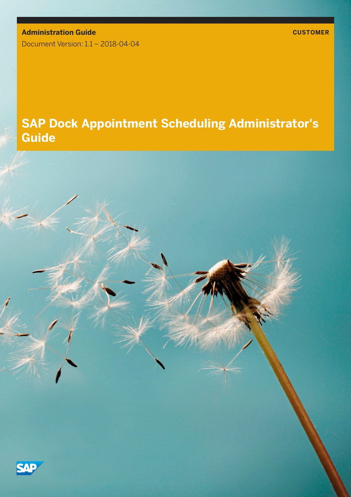**Administration Guide CUSTOMER** Document Version: 1.1 – 2018-04-04

## **SAP Dock Appointment Scheduling Administrator's Guide**

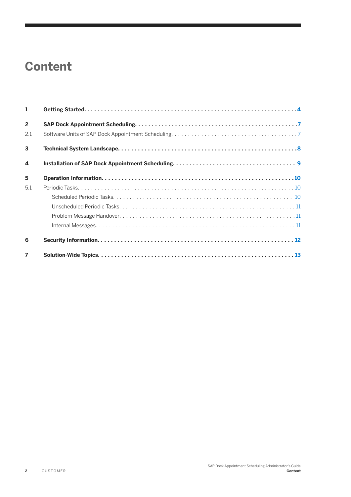## **Content**

| 1                        |  |
|--------------------------|--|
| $\overline{2}$           |  |
| 2.1                      |  |
| $\overline{3}$           |  |
| $\blacktriangle$         |  |
| 5                        |  |
| 5.1                      |  |
|                          |  |
|                          |  |
|                          |  |
|                          |  |
| 6                        |  |
| $\overline{\phantom{a}}$ |  |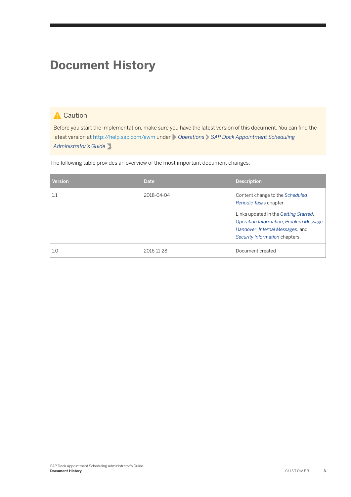## **Document History**

### **A** Caution

Before you start the implementation, make sure you have the latest version of this document. You can find the latest version at <http://help.sap.com/ewm>under *Operations SAP Dock Appointment Scheduling Administrator's Guide* .

The following table provides an overview of the most important document changes.

| <b>Version</b> | <b>Date</b> | <b>Description</b>                                                                                                                                                                                                  |
|----------------|-------------|---------------------------------------------------------------------------------------------------------------------------------------------------------------------------------------------------------------------|
| $1.1\,$        | 2018-04-04  | Content change to the Scheduled<br>Periodic Tasks chapter.<br>Links updated in the Getting Started,<br>Operation Information, Problem Message<br>Handover, Internal Messages, and<br>Security Information chapters. |
| 1.0            | 2016-11-28  | Document created                                                                                                                                                                                                    |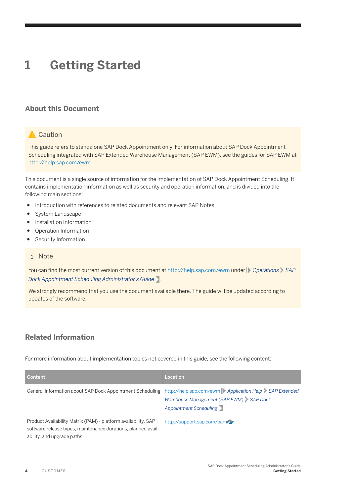# <span id="page-3-0"></span>**1 Getting Started**

#### **About this Document**

#### **A** Caution

This guide refers to standalone SAP Dock Appointment only. For information about SAP Dock Appointment Scheduling integrated with SAP Extended Warehouse Management (SAP EWM), see the guides for SAP EWM at [http://help.sap.com/ewm.](http://help.sap.com/ewm)

This document is a single source of information for the implementation of SAP Dock Appointment Scheduling. It contains implementation information as well as security and operation information, and is divided into the following main sections:

- Introduction with references to related documents and relevant SAP Notes
- System Landscape
- Installation Information
- Operation Information
- Security Information

#### i Note

You can find the most current version of this document at<http://help.sap.com/ewm>under **P** Operations SAP *Dock Appointment Scheduling Administrator's Guide* .

We strongly recommend that you use the document available there. The guide will be updated according to updates of the software.

#### **Related Information**

For more information about implementation topics not covered in this guide, see the following content:

| Content                                                                                                                                                       | Location                                                                                                                   |
|---------------------------------------------------------------------------------------------------------------------------------------------------------------|----------------------------------------------------------------------------------------------------------------------------|
| General information about SAP Dock Appointment Scheduling                                                                                                     | http://help.sap.com/ewm Application Help SAP Extended<br>Warehouse Management (SAP EWM) SAP Dock<br>Appointment Scheduling |
| Product Availability Matrix (PAM) - platform availability, SAP<br>software release types, maintenance durations, planned avail-<br>ability, and upgrade paths | http://support.sap.com/pam                                                                                                 |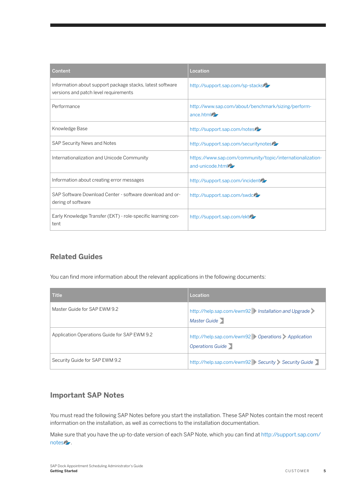| Content                                                                                            | Location                                                                      |
|----------------------------------------------------------------------------------------------------|-------------------------------------------------------------------------------|
| Information about support package stacks, latest software<br>versions and patch level requirements | http://support.sap.com/sp-stacks                                              |
| Performance                                                                                        | http://www.sap.com/about/benchmark/sizing/perform-<br>ance html               |
| Knowledge Base                                                                                     | http://support.sap.com/notes                                                  |
| <b>SAP Security News and Notes</b>                                                                 | http://support.sap.com/securitynotes                                          |
| Internationalization and Unicode Community                                                         | https://www.sap.com/community/topic/internationalization-<br>and-unicode.html |
| Information about creating error messages                                                          | http://support.sap.com/incident                                               |
| SAP Software Download Center - software download and or-<br>dering of software                     | http://support.sap.com/swdclery                                               |
| Early Knowledge Transfer (EKT) - role-specific learning con-<br>tent                               | http://support.sap.com/ektrz                                                  |

### **Related Guides**

You can find more information about the relevant applications in the following documents:

| <b>Title</b>                                 | Location                                                             |
|----------------------------------------------|----------------------------------------------------------------------|
| Master Guide for SAP EWM 9.2                 | http://help.sap.com/ewm92   Installation and Upgrade<br>Master Guide |
| Application Operations Guide for SAP EWM 9.2 | http://help.sap.com/ewm92 Operations Application<br>Operations Guide |
| Security Guide for SAP EWM 9.2               | http://help.sap.com/ewm92 Security Security Guide                    |

### **Important SAP Notes**

You must read the following SAP Notes before you start the installation. These SAP Notes contain the most recent information on the installation, as well as corrections to the installation documentation.

Make sure that you have the up-to-date version of each SAP Note, which you can find at [http://support.sap.com/](http://help.sap.com/disclaimer?site=http%3A%2F%2Fsupport.sap.com%2Fnotes) [notes](http://help.sap.com/disclaimer?site=http%3A%2F%2Fsupport.sap.com%2Fnotes) .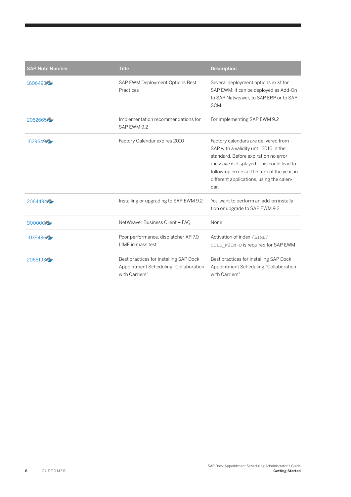| <b>SAP Note Number</b> | <b>Title</b>                                                                                      | <b>Description</b>                                                                                                                                                                                                                                                    |
|------------------------|---------------------------------------------------------------------------------------------------|-----------------------------------------------------------------------------------------------------------------------------------------------------------------------------------------------------------------------------------------------------------------------|
| 160649375              | SAP EWM Deployment Options Best<br>Practices                                                      | Several deployment options exist for<br>SAP EWM: it can be deployed as Add-On<br>to SAP Netweaver, to SAP ERP or to SAP<br>SCM.                                                                                                                                       |
| 20526657               | Implementation recommendations for<br>SAP EWM 9.2                                                 | For implementing SAP EWM 9.2                                                                                                                                                                                                                                          |
| 1529649                | Factory Calendar expires 2010                                                                     | Factory calendars are delivered from<br>SAP with a validity until 2010 in the<br>standard. Before expiration no error<br>message is displayed. This could lead to<br>follow-up errors at the turn of the year, in<br>different applications, using the calen-<br>dar. |
| 206449475              | Installing or upgrading to SAP EWM 9.2                                                            | You want to perform an add-on installa-<br>tion or upgrade to SAP EWM 9.2                                                                                                                                                                                             |
| 900000                 | NetWeaver Business Client - FAQ                                                                   | None                                                                                                                                                                                                                                                                  |
| 103943675              | Poor performance, displatcher AP 7.0<br>LIME in mass test                                         | Activation of index /LIME/<br>COLL W2IM~D is required for SAP EWM                                                                                                                                                                                                     |
| 20651937               | Best practices for installing SAP Dock<br>Appointment Scheduling "Collaboration<br>with Carriers" | Best practices for installing SAP Dock<br>Appointment Scheduling "Collaboration<br>with Carriers"                                                                                                                                                                     |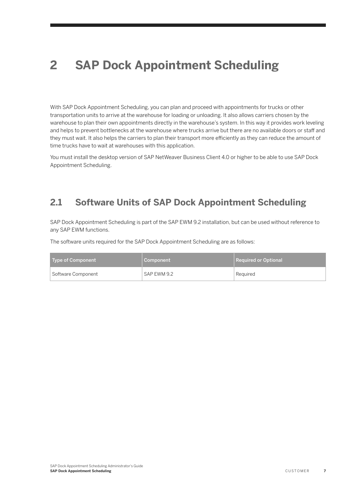# <span id="page-6-0"></span>**2 SAP Dock Appointment Scheduling**

With SAP Dock Appointment Scheduling, you can plan and proceed with appointments for trucks or other transportation units to arrive at the warehouse for loading or unloading. It also allows carriers chosen by the warehouse to plan their own appointments directly in the warehouse's system. In this way it provides work leveling and helps to prevent bottlenecks at the warehouse where trucks arrive but there are no available doors or staff and they must wait. It also helps the carriers to plan their transport more efficiently as they can reduce the amount of time trucks have to wait at warehouses with this application.

You must install the desktop version of SAP NetWeaver Business Client 4.0 or higher to be able to use SAP Dock Appointment Scheduling.

### **2.1 Software Units of SAP Dock Appointment Scheduling**

SAP Dock Appointment Scheduling is part of the SAP EWM 9.2 installation, but can be used without reference to any SAP EWM functions.

The software units required for the SAP Dock Appointment Scheduling are as follows:

| Type of Component  | Component   | Required or Optional |
|--------------------|-------------|----------------------|
| Software Component | SAP EWM 9.2 | Reauired             |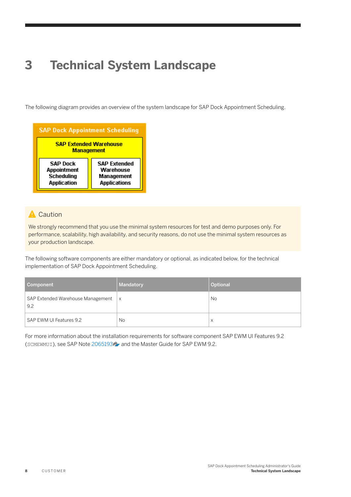# <span id="page-7-0"></span>**3 Technical System Landscape**

The following diagram provides an overview of the system landscape for SAP Dock Appointment Scheduling.



#### **A** Caution

We strongly recommend that you use the minimal system resources for test and demo purposes only. For performance, scalability, high availability, and security reasons, do not use the minimal system resources as your production landscape.

The following software components are either mandatory or optional, as indicated below, for the technical implementation of SAP Dock Appointment Scheduling.

| Component                                | Mandatory    | Optional          |
|------------------------------------------|--------------|-------------------|
| SAP Extended Warehouse Management<br>9.2 | $\mathsf{X}$ | <b>No</b>         |
| SAP EWM UI Features 9.2                  | <b>No</b>    | $\checkmark$<br>⋏ |

For more information about the installation requirements for software component SAP EWM UI Features 9.2 (SCMEWMUI), see SAP Note [2065193](http://help.sap.com/disclaimer?site=https://launchpad.support.sap.com/#/notes/2065193) and the Master Guide for SAP EWM 9.2.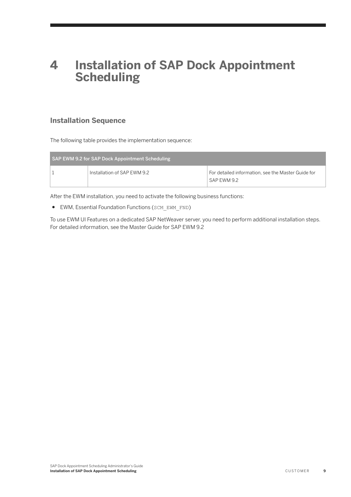### <span id="page-8-0"></span>**4 Installation of SAP Dock Appointment Scheduling**

### **Installation Sequence**

The following table provides the implementation sequence:

| SAP EWM 9.2 for SAP Dock Appointment Scheduling |                                                                   |
|-------------------------------------------------|-------------------------------------------------------------------|
| Installation of SAP EWM 9.2                     | For detailed information, see the Master Guide for<br>SAP EWM 9.2 |

After the EWM installation, you need to activate the following business functions:

● EWM, Essential Foundation Functions (SCM\_EWM\_FND)

To use EWM UI Features on a dedicated SAP NetWeaver server, you need to perform additional installation steps. For detailed information, see the Master Guide for SAP EWM 9.2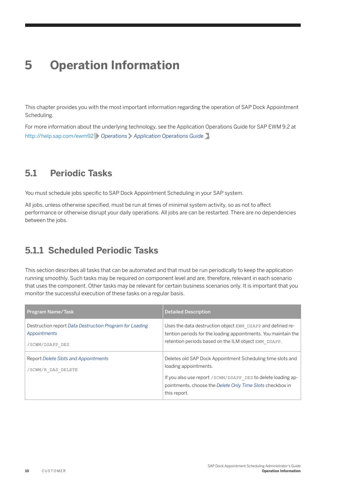## <span id="page-9-0"></span>**5 Operation Information**

This chapter provides you with the most important information regarding the operation of SAP Dock Appointment Scheduling.

For more information about the underlying technology, see the Application Operations Guide for SAP EWM 9.2 at <http://help.sap.com/ewm92> *Operations Application Operations Guide* .

### **5.1 Periodic Tasks**

You must schedule jobs specific to SAP Dock Appointment Scheduling in your SAP system.

All jobs, unless otherwise specified, must be run at times of minimal system activity, so as not to affect performance or otherwise disrupt your daily operations. All jobs are can be restarted. There are no dependencies between the jobs.

### **5.1.1 Scheduled Periodic Tasks**

This section describes all tasks that can be automated and that must be run periodically to keep the application running smoothly. Such tasks may be required on component level and are, therefore, relevant in each scenario that uses the component. Other tasks may be relevant for certain business scenarios only. It is important that you monitor the successful execution of these tasks on a regular basis.

| Program Name/Task                                                                          | <b>Detailed Description</b>                                                                                                                                                                                                       |
|--------------------------------------------------------------------------------------------|-----------------------------------------------------------------------------------------------------------------------------------------------------------------------------------------------------------------------------------|
| Destruction report Data Destruction Program for Loading<br>Appointments<br>/SCWM/DSAPP DES | Uses the data destruction object EWM DSAPP and defined re-<br>tention periods for the loading appointments. You maintain the<br>retention periods based on the ILM object EWM DSAPP.                                              |
| Report Delete Slots and Appointments<br>/SCWM/R DAS DELETE                                 | Deletes old SAP Dock Appointment Scheduling time slots and<br>loading appointments.<br>If you also use report / SCWM/DSAPP DES to delete loading ap-<br>pointments, choose the Delete Only Time Slots checkbox in<br>this report. |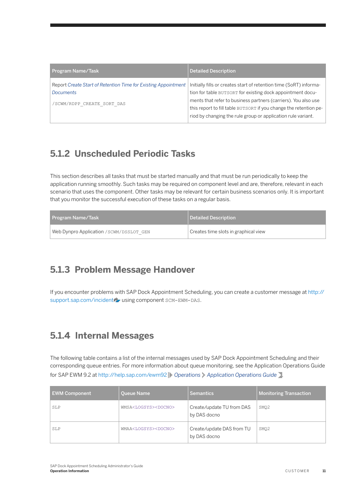<span id="page-10-0"></span>

| Program Name/Task                                                                  | <b>Detailed Description</b>                                                                                                       |
|------------------------------------------------------------------------------------|-----------------------------------------------------------------------------------------------------------------------------------|
| Report Create Start of Retention Time for Existing Appointment<br><b>Documents</b> | Initially fills or creates start of retention time (SoRT) informa-<br>tion for table BUTSORT for existing dock appointment docu-  |
| /SCWM/RDPP CREATE SORT DAS                                                         | ments that refer to business partners (carriers). You also use                                                                    |
|                                                                                    | this report to fill table BUTSORT if you change the retention pe-<br>riod by changing the rule group or application rule variant. |

### **5.1.2 Unscheduled Periodic Tasks**

This section describes all tasks that must be started manually and that must be run periodically to keep the application running smoothly. Such tasks may be required on component level and are, therefore, relevant in each scenario that uses the component. Other tasks may be relevant for certain business scenarios only. It is important that you monitor the successful execution of these tasks on a regular basis.

| <b>Program Name/Task</b>                 | Detailed Description                 |
|------------------------------------------|--------------------------------------|
| Web Dynpro Application / SCWM/DSSLOT GEN | Creates time slots in graphical view |

### **5.1.3 Problem Message Handover**

If you encounter problems with SAP Dock Appointment Scheduling, you can create a customer message at [http://](http://help.sap.com/disclaimer?site=http%3A%2F%2Fsupport.sap.com%2Fincident) [support.sap.com/incident](http://help.sap.com/disclaimer?site=http%3A%2F%2Fsupport.sap.com%2Fincident) valuating component SCM-EWM-DAS.

### **5.1.4 Internal Messages**

The following table contains a list of the internal messages used by SAP Dock Appointment Scheduling and their corresponding queue entries. For more information about queue monitoring, see the Application Operations Guide for SAP EWM 9.2 at <http://help.sap.com/ewm92><sup>1</sup> Operations > Application Operations Guide .

| <b>EWM Component</b> | <b>Queue Name</b>                     | <b>Semantics</b>                          | <b>Monitoring Transaction</b> |
|----------------------|---------------------------------------|-------------------------------------------|-------------------------------|
| SLP                  | WMSA <logsys><docno></docno></logsys> | Create/update TU from DAS<br>by DAS docno | SMO <sub>2</sub>              |
| SLP                  | WMAA <logsys><docno></docno></logsys> | Create/update DAS from TU<br>by DAS docno | SMO <sub>2</sub>              |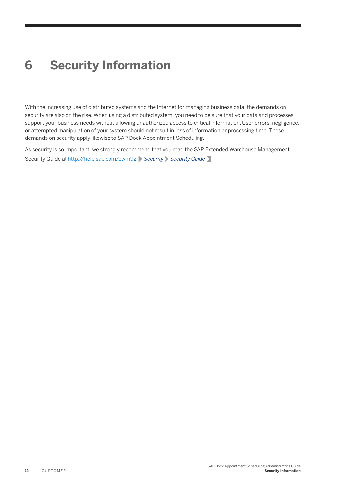## <span id="page-11-0"></span>**6 Security Information**

With the increasing use of distributed systems and the Internet for managing business data, the demands on security are also on the rise. When using a distributed system, you need to be sure that your data and processes support your business needs without allowing unauthorized access to critical information. User errors, negligence, or attempted manipulation of your system should not result in loss of information or processing time. These demands on security apply likewise to SAP Dock Appointment Scheduling.

As security is so important, we strongly recommend that you read the SAP Extended Warehouse Management Security Guide at<http://help.sap.com/ewm92><sup>1</sup> Security > Security Guide >.

**Security Information**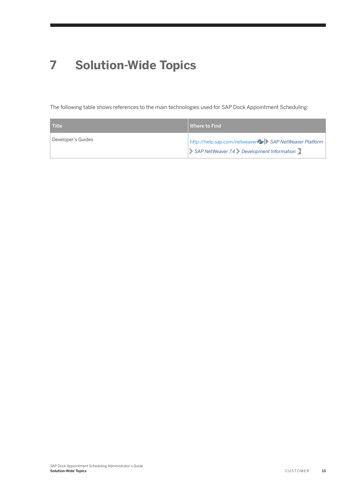# <span id="page-12-0"></span>**7 Solution-Wide Topics**

The following table shows references to the main technologies used for SAP Dock Appointment Scheduling:

| <b>Title</b>       | Where to Find                                        |
|--------------------|------------------------------------------------------|
| Developer's Guides | http://help.sap.com/netweaver SAP NetWeaver Platform |
|                    | SAP NetWeaver 7.4 Development Information            |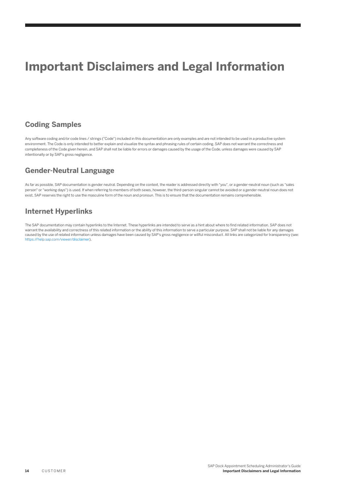## **Important Disclaimers and Legal Information**

#### **Coding Samples**

Any software coding and/or code lines / strings ("Code") included in this documentation are only examples and are not intended to be used in a productive system environment. The Code is only intended to better explain and visualize the syntax and phrasing rules of certain coding. SAP does not warrant the correctness and completeness of the Code given herein, and SAP shall not be liable for errors or damages caused by the usage of the Code, unless damages were caused by SAP intentionally or by SAP's gross negligence.

### **Gender-Neutral Language**

As far as possible, SAP documentation is gender neutral. Depending on the context, the reader is addressed directly with "you", or a gender-neutral noun (such as "sales person" or "working days") is used. If when referring to members of both sexes, however, the third-person singular cannot be avoided or a gender-neutral noun does not exist, SAP reserves the right to use the masculine form of the noun and pronoun. This is to ensure that the documentation remains comprehensible.

#### **Internet Hyperlinks**

The SAP documentation may contain hyperlinks to the Internet. These hyperlinks are intended to serve as a hint about where to find related information. SAP does not warrant the availability and correctness of this related information or the ability of this information to serve a particular purpose. SAP shall not be liable for any damages caused by the use of related information unless damages have been caused by SAP's gross negligence or willful misconduct. All links are categorized for transparency (see: <https://help.sap.com/viewer/disclaimer>).